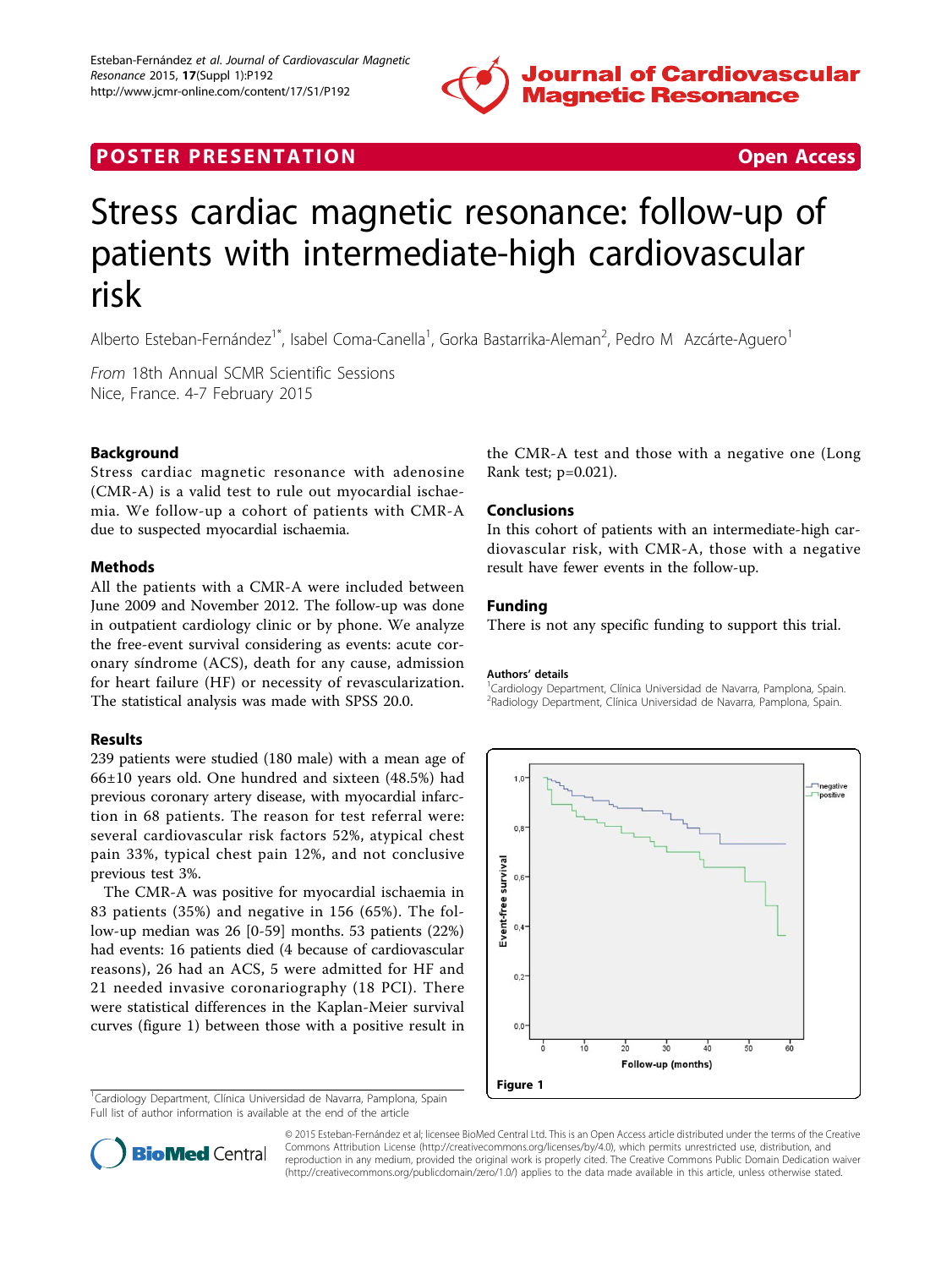

## **POSTER PRESENTATION CONSUMING THE SECOND CONSUMING THE SECOND CONSUMING THE SECOND CONSUMING THE SECOND CONSUMING THE SECOND CONSUMING THE SECOND CONSUMING THE SECOND CONSUMING THE SECOND CONSUMING THE SECOND CONSUMING**

# Stress cardiac magnetic resonance: follow-up of patients with intermediate-high cardiovascular risk

Alberto Esteban-Fernández<sup>1\*</sup>, Isabel Coma-Canella<sup>1</sup>, Gorka Bastarrika-Aleman<sup>2</sup>, Pedro M Azcárte-Aguero<sup>1</sup>

From 18th Annual SCMR Scientific Sessions Nice, France. 4-7 February 2015

### Background

Stress cardiac magnetic resonance with adenosine (CMR-A) is a valid test to rule out myocardial ischaemia. We follow-up a cohort of patients with CMR-A due to suspected myocardial ischaemia.

#### Methods

All the patients with a CMR-A were included between June 2009 and November 2012. The follow-up was done in outpatient cardiology clinic or by phone. We analyze the free-event survival considering as events: acute coronary síndrome (ACS), death for any cause, admission for heart failure (HF) or necessity of revascularization. The statistical analysis was made with SPSS 20.0.

#### Results

239 patients were studied (180 male) with a mean age of 66±10 years old. One hundred and sixteen (48.5%) had previous coronary artery disease, with myocardial infarction in 68 patients. The reason for test referral were: several cardiovascular risk factors 52%, atypical chest pain 33%, typical chest pain 12%, and not conclusive previous test 3%.

The CMR-A was positive for myocardial ischaemia in 83 patients (35%) and negative in 156 (65%). The follow-up median was 26 [0-59] months. 53 patients (22%) had events: 16 patients died (4 because of cardiovascular reasons), 26 had an ACS, 5 were admitted for HF and 21 needed invasive coronariography (18 PCI). There were statistical differences in the Kaplan-Meier survival curves (figure 1) between those with a positive result in

<sup>1</sup>Cardiology Department, Clínica Universidad de Navarra, Pamplona, Spain Full list of author information is available at the end of the article

the CMR-A test and those with a negative one (Long Rank test; p=0.021).

#### Conclusions

In this cohort of patients with an intermediate-high cardiovascular risk, with CMR-A, those with a negative result have fewer events in the follow-up.

#### Funding

There is not any specific funding to support this trial.

#### Authors' details <sup>1</sup>

<sup>1</sup> Cardiology Department, Clínica Universidad de Navarra, Pamplona, Spain. 2 Radiology Department, Clínica Universidad de Navarra, Pamplona, Spain.





© 2015 Esteban-Fernández et al; licensee BioMed Central Ltd. This is an Open Access article distributed under the terms of the Creative Commons Attribution License [\(http://creativecommons.org/licenses/by/4.0](http://creativecommons.org/licenses/by/4.0)), which permits unrestricted use, distribution, and reproduction in any medium, provided the original work is properly cited. The Creative Commons Public Domain Dedication waiver [\(http://creativecommons.org/publicdomain/zero/1.0/](http://creativecommons.org/publicdomain/zero/1.0/)) applies to the data made available in this article, unless otherwise stated.